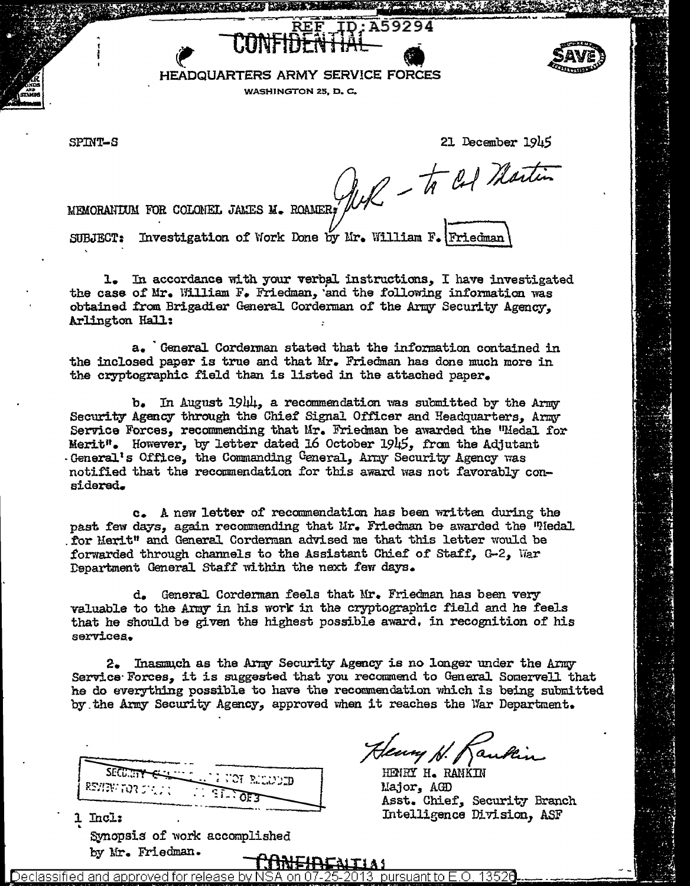HEADQUARTERS ARMY SERVICE FORCES

WASHINGTON 25, D.C.

SPINT-S

21 December 1945

MEMORANTUM FOR COLONEL JANES M. ROAMER;  $\frac{1}{4}$   $\frac{1}{4}$   $\frac{1}{6}$   $\frac{1}{6}$  Martin

ID: A59294

SUBJECT: Investigation of Work Done by Mr. William F. Friedman

1. In accordance with your verbal instructions. I have investigated the case of Mr. William F. Friedman, and the following information was obtained from Brigadier General Corderman of the Army Security Agency. Arlington Hall:

a. General Corderman stated that the information contained in the inclosed paper is true and that Mr. Friedman has done much more in the cryptographic field than is listed in the attached paper.

 $b_{\bullet}$  In August 1944, a recommendation was submitted by the Army Security Agency through the Chief Signal Officer and Headquarters, Army Service Forces, recommending that Mr. Friedman be awarded the "Medal for Merit". However, by letter dated 16 October 1945, from the Adjutant General's Office, the Commanding General, Army Security Agency was notified that the recommendation for this award was not favorably considered.

c. A new letter of recommendation has been written during the past few days, again recommending that Mr. Friedman be awarded the "Medal for Merit" and General Corderman advised me that this letter would be forwarded through channels to the Assistant Chief of Staff, G-2, War Department General Staff within the next few days.

General Corderman feels that Mr. Friedman has been verv  $d_{\bullet}$ valuable to the Army in his work in the cryptographic field and he feels that he should be given the highest possible award, in recognition of his services.

2. Inasmuch as the Army Security Agency is no longer under the Army Service Forces. it is suggested that you recommend to General Somervell that he do everything possible to have the recommendation which is being submitted by the Army Security Agency, approved when it reaches the War Department.

SECURITY UCT RELEVED. ESVENTOR STOP فستك سيا Incl:

Synopsis of work accomplished by Mr. Friedman.

Henry N. Kankin

HENRY H. RANKIN Major, AGD Asst. Chief. Security Branch Intelligence Division, ASF

Declassified and approved for release pursuant to  $\mathsf{E}.\mathsf{O}.$ hv.